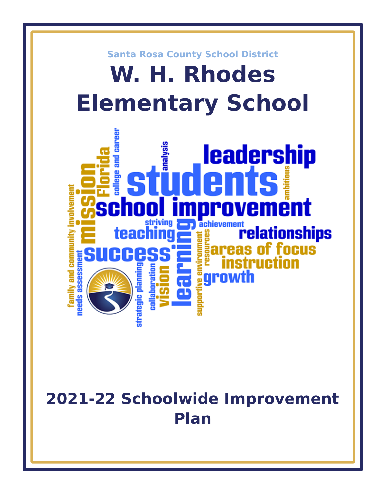

# **2021-22 Schoolwide Improvement Plan**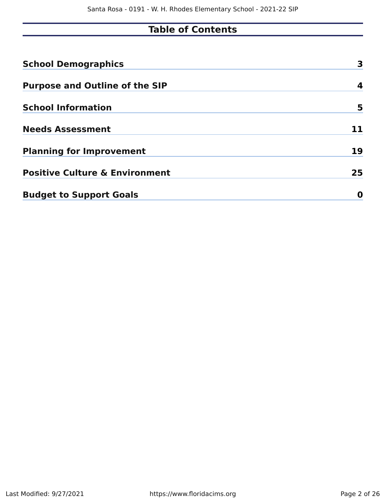# **Table of Contents**

| <b>School Demographics</b>                | 3  |
|-------------------------------------------|----|
| <b>Purpose and Outline of the SIP</b>     | 4  |
| <b>School Information</b>                 | 5  |
| <b>Needs Assessment</b>                   |    |
| <b>Planning for Improvement</b>           | 19 |
| <b>Positive Culture &amp; Environment</b> | 25 |
| <b>Budget to Support Goals</b>            | O  |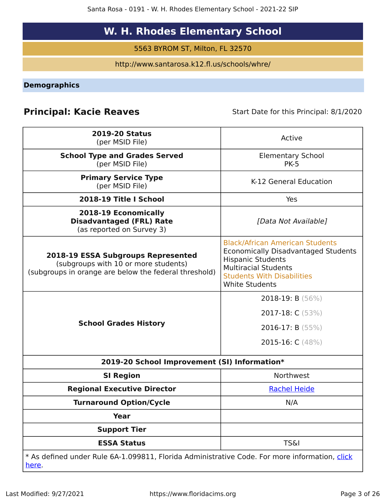# **W. H. Rhodes Elementary School**

5563 BYROM ST, Milton, FL 32570

http://www.santarosa.k12.fl.us/schools/whre/

**Demographics**

# **Principal: Kacie Reaves** Start Date for this Principal: 8/1/2020

| <b>2019-20 Status</b><br>(per MSID File)                                                                                            | Active                                                                                                                                                                                                        |
|-------------------------------------------------------------------------------------------------------------------------------------|---------------------------------------------------------------------------------------------------------------------------------------------------------------------------------------------------------------|
| <b>School Type and Grades Served</b><br>(per MSID File)                                                                             | <b>Elementary School</b><br><b>PK-5</b>                                                                                                                                                                       |
| <b>Primary Service Type</b><br>(per MSID File)                                                                                      | K-12 General Education                                                                                                                                                                                        |
| 2018-19 Title I School                                                                                                              | Yes                                                                                                                                                                                                           |
| 2018-19 Economically<br><b>Disadvantaged (FRL) Rate</b><br>(as reported on Survey 3)                                                | [Data Not Available]                                                                                                                                                                                          |
| 2018-19 ESSA Subgroups Represented<br>(subgroups with 10 or more students)<br>(subgroups in orange are below the federal threshold) | <b>Black/African American Students</b><br><b>Economically Disadvantaged Students</b><br><b>Hispanic Students</b><br><b>Multiracial Students</b><br><b>Students With Disabilities</b><br><b>White Students</b> |
| <b>School Grades History</b>                                                                                                        | 2018-19: B (56%)<br>2017-18: $C(53%)$<br>2016-17: B $(55%)$<br>2015-16: C (48%)                                                                                                                               |
| 2019-20 School Improvement (SI) Information*                                                                                        |                                                                                                                                                                                                               |
| <b>SI Region</b>                                                                                                                    | Northwest                                                                                                                                                                                                     |
| <b>Regional Executive Director</b>                                                                                                  | <b>Rachel Heide</b>                                                                                                                                                                                           |
| <b>Turnaround Option/Cycle</b>                                                                                                      | N/A                                                                                                                                                                                                           |
| <b>Year</b>                                                                                                                         |                                                                                                                                                                                                               |
| <b>Support Tier</b>                                                                                                                 |                                                                                                                                                                                                               |
| <b>ESSA Status</b>                                                                                                                  | <b>TS&amp;I</b>                                                                                                                                                                                               |
| * As defined under Rule 6A-1.099811, Florida Administrative Code. For more information, click<br><u>here</u> .                      |                                                                                                                                                                                                               |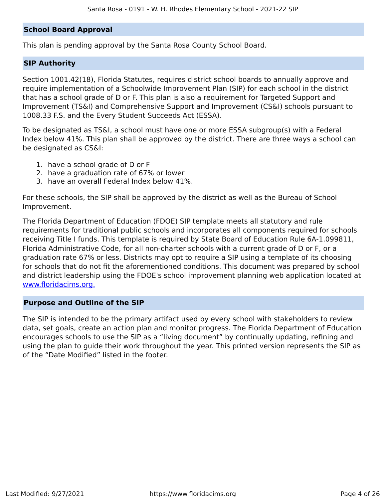### **School Board Approval**

This plan is pending approval by the Santa Rosa County School Board.

### **SIP Authority**

Section 1001.42(18), Florida Statutes, requires district school boards to annually approve and require implementation of a Schoolwide Improvement Plan (SIP) for each school in the district that has a school grade of D or F. This plan is also a requirement for Targeted Support and Improvement (TS&I) and Comprehensive Support and Improvement (CS&I) schools pursuant to 1008.33 F.S. and the Every Student Succeeds Act (ESSA).

To be designated as TS&I, a school must have one or more ESSA subgroup(s) with a Federal Index below 41%. This plan shall be approved by the district. There are three ways a school can be designated as CS&I:

- 1. have a school grade of D or F
- 2. have a graduation rate of 67% or lower
- 3. have an overall Federal Index below 41%.

For these schools, the SIP shall be approved by the district as well as the Bureau of School Improvement.

The Florida Department of Education (FDOE) SIP template meets all statutory and rule requirements for traditional public schools and incorporates all components required for schools receiving Title I funds. This template is required by State Board of Education Rule 6A-1.099811, Florida Administrative Code, for all non-charter schools with a current grade of D or F, or a graduation rate 67% or less. Districts may opt to require a SIP using a template of its choosing for schools that do not fit the aforementioned conditions. This document was prepared by school and district leadership using the FDOE's school improvement planning web application located at www.floridacims.org.

### **Purpose and Outline of the SIP**

The SIP is intended to be the primary artifact used by every school with stakeholders to review data, set goals, create an action plan and monitor progress. The Florida Department of Education encourages schools to use the SIP as a "living document" by continually updating, refining and using the plan to guide their work throughout the year. This printed version represents the SIP as of the "Date Modified" listed in the footer.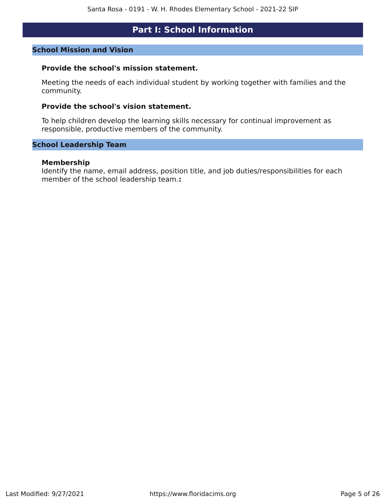### **Part I: School Information**

### **School Mission and Vision**

### **Provide the school's mission statement.**

Meeting the needs of each individual student by working together with families and the community.

#### **Provide the school's vision statement.**

To help children develop the learning skills necessary for continual improvement as responsible, productive members of the community.

### **School Leadership Team**

#### **Membership**

Identify the name, email address, position title, and job duties/responsibilities for each member of the school leadership team.**:**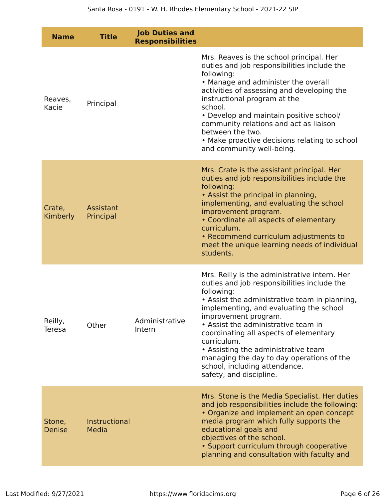| <b>Name</b>               | <b>Title</b>           | <b>Job Duties and</b><br><b>Responsibilities</b> |                                                                                                                                                                                                                                                                                                                                                                                                                                                                                |
|---------------------------|------------------------|--------------------------------------------------|--------------------------------------------------------------------------------------------------------------------------------------------------------------------------------------------------------------------------------------------------------------------------------------------------------------------------------------------------------------------------------------------------------------------------------------------------------------------------------|
| Reaves,<br>Kacie          | Principal              |                                                  | Mrs. Reaves is the school principal. Her<br>duties and job responsibilities include the<br>following:<br>• Manage and administer the overall<br>activities of assessing and developing the<br>instructional program at the<br>school.<br>• Develop and maintain positive school/<br>community relations and act as liaison<br>between the two.<br>• Make proactive decisions relating to school<br>and community well-being.                                                   |
| Crate,<br><b>Kimberly</b> | Assistant<br>Principal |                                                  | Mrs. Crate is the assistant principal. Her<br>duties and job responsibilities include the<br>following:<br>• Assist the principal in planning,<br>implementing, and evaluating the school<br>improvement program.<br>• Coordinate all aspects of elementary<br>curriculum.<br>• Recommend curriculum adjustments to<br>meet the unique learning needs of individual<br>students.                                                                                               |
| Reilly,<br>Teresa         | Other                  | Administrative<br>Intern                         | Mrs. Reilly is the administrative intern. Her<br>duties and job responsibilities include the<br>following:<br>• Assist the administrative team in planning,<br>implementing, and evaluating the school<br>improvement program.<br>• Assist the administrative team in<br>coordinating all aspects of elementary<br>curriculum.<br>• Assisting the administrative team<br>managing the day to day operations of the<br>school, including attendance,<br>safety, and discipline. |
| Stone,<br><b>Denise</b>   | Instructional<br>Media |                                                  | Mrs. Stone is the Media Specialist. Her duties<br>and job responsibilities include the following:<br>• Organize and implement an open concept<br>media program which fully supports the<br>educational goals and<br>objectives of the school.<br>• Support curriculum through cooperative<br>planning and consultation with faculty and                                                                                                                                        |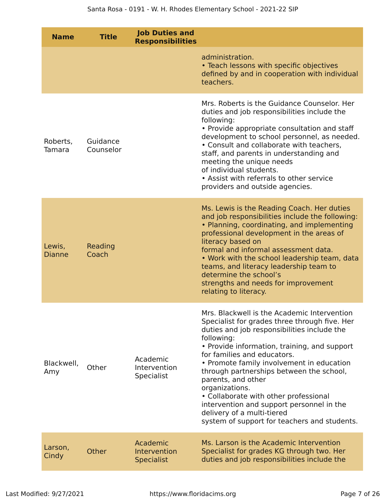| <b>Name</b>             | <b>Title</b>          | <b>Job Duties and</b><br><b>Responsibilities</b> |                                                                                                                                                                                                                                                                                                                                                                                                                                                                                                                                               |
|-------------------------|-----------------------|--------------------------------------------------|-----------------------------------------------------------------------------------------------------------------------------------------------------------------------------------------------------------------------------------------------------------------------------------------------------------------------------------------------------------------------------------------------------------------------------------------------------------------------------------------------------------------------------------------------|
|                         |                       |                                                  | administration.<br>• Teach lessons with specific objectives<br>defined by and in cooperation with individual<br>teachers.                                                                                                                                                                                                                                                                                                                                                                                                                     |
| Roberts,<br>Tamara      | Guidance<br>Counselor |                                                  | Mrs. Roberts is the Guidance Counselor. Her<br>duties and job responsibilities include the<br>following:<br>• Provide appropriate consultation and staff<br>development to school personnel, as needed.<br>• Consult and collaborate with teachers,<br>staff, and parents in understanding and<br>meeting the unique needs<br>of individual students.<br>• Assist with referrals to other service<br>providers and outside agencies.                                                                                                          |
| Lewis,<br><b>Dianne</b> | Reading<br>Coach      |                                                  | Ms. Lewis is the Reading Coach. Her duties<br>and job responsibilities include the following:<br>• Planning, coordinating, and implementing<br>professional development in the areas of<br>literacy based on<br>formal and informal assessment data.<br>• Work with the school leadership team, data<br>teams, and literacy leadership team to<br>determine the school's<br>strengths and needs for improvement<br>relating to literacy.                                                                                                      |
| Blackwell,<br>Amy       | Other                 | Academic<br>Intervention<br><b>Specialist</b>    | Mrs. Blackwell is the Academic Intervention<br>Specialist for grades three through five. Her<br>duties and job responsibilities include the<br>following:<br>• Provide information, training, and support<br>for families and educators.<br>• Promote family involvement in education<br>through partnerships between the school,<br>parents, and other<br>organizations.<br>• Collaborate with other professional<br>intervention and support personnel in the<br>delivery of a multi-tiered<br>system of support for teachers and students. |
| Larson,<br>Cindy        | Other                 | Academic<br>Intervention<br><b>Specialist</b>    | Ms. Larson is the Academic Intervention<br>Specialist for grades KG through two. Her<br>duties and job responsibilities include the                                                                                                                                                                                                                                                                                                                                                                                                           |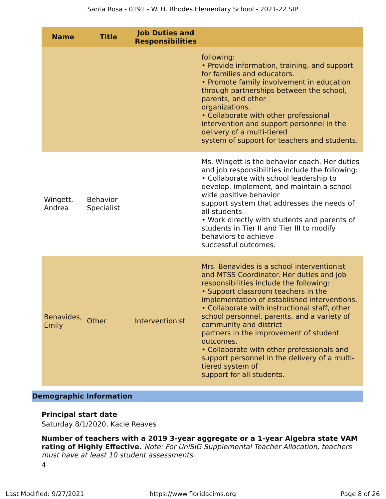| <b>Name</b>               | <b>Title</b>                  | <b>Job Duties and</b><br><b>Responsibilities</b> |                                                                                                                                                                                                                                                                                                                                                                                                                                                                                                                                                           |
|---------------------------|-------------------------------|--------------------------------------------------|-----------------------------------------------------------------------------------------------------------------------------------------------------------------------------------------------------------------------------------------------------------------------------------------------------------------------------------------------------------------------------------------------------------------------------------------------------------------------------------------------------------------------------------------------------------|
|                           |                               |                                                  | following:<br>• Provide information, training, and support<br>for families and educators.<br>• Promote family involvement in education<br>through partnerships between the school,<br>parents, and other<br>organizations.<br>• Collaborate with other professional<br>intervention and support personnel in the<br>delivery of a multi-tiered<br>system of support for teachers and students.                                                                                                                                                            |
| Wingett,<br>Andrea        | <b>Behavior</b><br>Specialist |                                                  | Ms. Wingett is the behavior coach. Her duties<br>and job responsibilities include the following:<br>• Collaborate with school leadership to<br>develop, implement, and maintain a school<br>wide positive behavior<br>support system that addresses the needs of<br>all students.<br>• Work directly with students and parents of<br>students in Tier II and Tier III to modify<br>behaviors to achieve<br>successful outcomes.                                                                                                                           |
| Benavides, Other<br>Emily |                               | Interventionist                                  | Mrs. Benavides is a school interventionist<br>and MTSS Coordinator. Her duties and job<br>responsibilities include the following:<br>• Support classroom teachers in the<br>implementation of established interventions.<br>• Collaborate with instructional staff, other<br>school personnel, parents, and a variety of<br>community and district<br>partners in the improvement of student<br>outcomes.<br>• Collaborate with other professionals and<br>support personnel in the delivery of a multi-<br>tiered system of<br>support for all students. |

### **Demographic Information**

### **Principal start date**

Saturday 8/1/2020, Kacie Reaves

**Number of teachers with a 2019 3-year aggregate or a 1-year Algebra state VAM rating of Highly Effective.** Note: For UniSIG Supplemental Teacher Allocation, teachers must have at least 10 student assessments. 4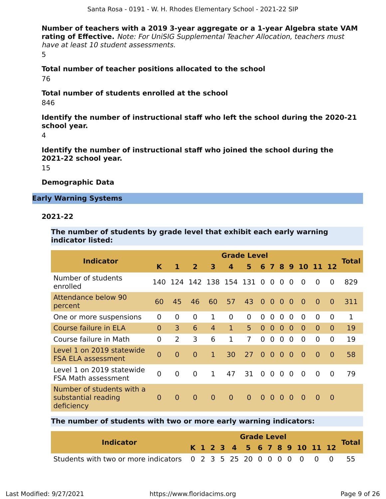**Number of teachers with a 2019 3-year aggregate or a 1-year Algebra state VAM rating of Effective.** Note: For UniSIG Supplemental Teacher Allocation, teachers must have at least 10 student assessments. 5

**Total number of teacher positions allocated to the school** 76

**Total number of students enrolled at the school** 846

**Identify the number of instructional staff who left the school during the 2020-21 school year.**

4

**Identify the number of instructional staff who joined the school during the 2021-22 school year.**

15

### **Demographic Data**

### **Early Warning Systems**

### **2021-22**

**The number of students by grade level that exhibit each early warning indicator listed:**

| <b>Indicator</b>                                               |                |                |                           |                | <b>Grade Level</b> |                |                |                |                |                |                |                |                | Total |
|----------------------------------------------------------------|----------------|----------------|---------------------------|----------------|--------------------|----------------|----------------|----------------|----------------|----------------|----------------|----------------|----------------|-------|
|                                                                | K              | 1              | $\overline{2}$            | 3              | 4                  | 5              | 6              | $\mathbf{7}$   |                |                | 8 9 10 11      |                |                |       |
| Number of students<br>enrolled                                 |                |                | 140 124 142 138 154 131 0 |                |                    |                |                | $\overline{0}$ | $\Omega$       | $\Omega$       | $\overline{0}$ | $\overline{0}$ | $\Omega$       | 829   |
| <b>Attendance below 90</b><br>percent                          | 60             | 45             | 46                        | 60             | 57                 | 43             | $\overline{0}$ | $\overline{0}$ | $\overline{0}$ | $\Omega$       | $\overline{0}$ | $\overline{0}$ | $\Omega$       | 311   |
| One or more suspensions                                        | $\mathbf{0}$   | $\overline{0}$ | $\overline{0}$            | 1              | $\mathbf 0$        | $\mathbf 0$    | $\overline{0}$ | $\overline{0}$ | $\overline{0}$ | $\Omega$       | $\overline{0}$ | $\overline{0}$ | $\overline{0}$ | 1     |
| Course failure in ELA                                          | $\Omega$       | $\overline{3}$ | 6                         | $\overline{4}$ | $\mathbf{1}$       | 5 <sup>1</sup> | $\overline{0}$ | $\overline{0}$ | $\overline{0}$ | $\overline{0}$ | $\overline{0}$ | $\Omega$       | $\Omega$       | 19    |
| Course failure in Math                                         | $\overline{0}$ | 2              | 3                         | 6              | 1                  | $\overline{7}$ | $\Omega$       | $\Omega$       | $\Omega$       | $\Omega$       | $\Omega$       | $\Omega$       | 0              | 19    |
| Level 1 on 2019 statewide<br><b>FSA ELA assessment</b>         | $\overline{0}$ | $\overline{0}$ | $\Omega$                  | $\mathbf{1}$   | 30                 | 27             | $\overline{0}$ | $\overline{0}$ | $\Omega$       | $\overline{0}$ | $\overline{0}$ | $\overline{0}$ | $\Omega$       | 58    |
| Level 1 on 2019 statewide<br>FSA Math assessment               | $\overline{0}$ | $\overline{0}$ | $\Omega$                  | $\mathbf{1}$   | 47                 | 31             | $\overline{0}$ | $\overline{0}$ | $\overline{0}$ | $\Omega$       | $\overline{0}$ | $\overline{0}$ | $\Omega$       | 79    |
| Number of students with a<br>substantial reading<br>deficiency | $\Omega$       | $\overline{0}$ | $\mathbf{0}$              | $\overline{0}$ | $\overline{0}$     | $\overline{0}$ | $\overline{0}$ | $\overline{0}$ | $\Omega$       | $\Omega$       | $\overline{0}$ | $\Omega$       | $\Omega$       |       |

### **The number of students with two or more early warning indicators:**

| <b>Indicator</b>                                                    |  | <b>Grade Level</b> |  |  |  |  |  |  |  |  |  |  |                              |              |  |
|---------------------------------------------------------------------|--|--------------------|--|--|--|--|--|--|--|--|--|--|------------------------------|--------------|--|
|                                                                     |  |                    |  |  |  |  |  |  |  |  |  |  | K 1 2 3 4 5 6 7 8 9 10 11 12 | <b>Total</b> |  |
| Students with two or more indicators 0 2 3 5 25 20 0 0 0 0 0 0 0 55 |  |                    |  |  |  |  |  |  |  |  |  |  |                              |              |  |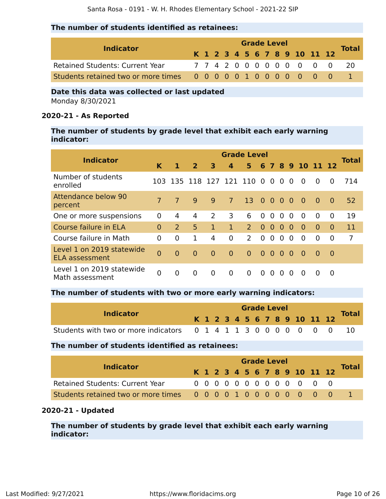### **The number of students identified as retainees:**

| <b>Indicator</b>                       |  |  |  |  | <b>Grade Level</b> |  |                              |              |
|----------------------------------------|--|--|--|--|--------------------|--|------------------------------|--------------|
|                                        |  |  |  |  |                    |  | K 1 2 3 4 5 6 7 8 9 10 11 12 | <b>Total</b> |
| <b>Retained Students: Current Year</b> |  |  |  |  |                    |  | 7742000000000                | - 20         |
|                                        |  |  |  |  |                    |  |                              |              |

### **Date this data was collected or last updated** Monday 8/30/2021

### **2020-21 - As Reported**

### **The number of students by grade level that exhibit each early warning indicator:**

|                                                    |                |                |                           |                |                | <b>Grade Level</b> |                |                |                |                |                |          |                |              |
|----------------------------------------------------|----------------|----------------|---------------------------|----------------|----------------|--------------------|----------------|----------------|----------------|----------------|----------------|----------|----------------|--------------|
| <b>Indicator</b>                                   | K              | 1              | $\overline{2}$            | 3              | 4              | 5                  | 6              |                |                |                | 7 8 9 10 11 12 |          |                | <b>Total</b> |
| Number of students<br>enrolled                     |                |                | 103 135 118 127 121 110 0 |                |                |                    |                | $\overline{0}$ | $\overline{0}$ | $\Omega$       | $\Omega$       | $\Omega$ | $\Omega$       | 714          |
| Attendance below 90<br>percent                     | $\overline{7}$ | $\overline{7}$ | 9                         | <b>q</b>       | $\overline{7}$ | 13 <sup>°</sup>    | 0 <sub>0</sub> |                | $\overline{0}$ | $\Omega$       | $\Omega$       | $\Omega$ | $\Omega$       | 52           |
| One or more suspensions                            | $\Omega$       | 4              | 4                         | $\mathcal{L}$  | 3              | 6                  | $\Omega$       | $\overline{0}$ | $\Omega$       | $\Omega$       | $\Omega$       | $\Omega$ | $\Omega$       | 19           |
| Course failure in ELA                              | $\Omega$       | 2              | 5                         | $\mathbf{1}$   | $\mathbf{1}$   | $\overline{2}$     | $\Omega$       | $\overline{0}$ | $\Omega$       | $\Omega$       | $\Omega$       | $\Omega$ | $\Omega$       | 11           |
| Course failure in Math                             | $\Omega$       | $\Omega$       | 1                         | 4              | 0              | 2                  | $\Omega$       | $\overline{0}$ | $\overline{0}$ | $\overline{0}$ | $\Omega$       | $\Omega$ | $\overline{0}$ | 7            |
| Level 1 on 2019 statewide<br><b>ELA assessment</b> | $\overline{0}$ | $\Omega$       | $\overline{0}$            | $\overline{0}$ | $\overline{0}$ | $\Omega$           | $\Omega$       | $\bullet$      | $\Omega$       | $\Omega$       | $\bullet$      | $\Omega$ | - 0            |              |
| Level 1 on 2019 statewide<br>Math assessment       | $\Omega$       | 0              | $\Omega$                  | $\overline{0}$ | $\overline{0}$ | $\Omega$           | $\Omega$       | $\Omega$       | $\Omega$       | $\Omega$       | $\Omega$       | $\Omega$ | 0              |              |

### **The number of students with two or more early warning indicators:**

|                                                                  |  | <b>Grade Level</b> |  |  |  |  |  |  |  |  |  |                              |  |              |  |
|------------------------------------------------------------------|--|--------------------|--|--|--|--|--|--|--|--|--|------------------------------|--|--------------|--|
| <b>Indicator</b>                                                 |  |                    |  |  |  |  |  |  |  |  |  | K 1 2 3 4 5 6 7 8 9 10 11 12 |  | <b>Total</b> |  |
| Students with two or more indicators 0 1 4 1 1 3 0 0 0 0 0 0 0 0 |  |                    |  |  |  |  |  |  |  |  |  |                              |  |              |  |

### **The number of students identified as retainees:**

| <b>Indicator</b>                       |  |  |  |  | <b>Grade Level</b> |                              |  |       |
|----------------------------------------|--|--|--|--|--------------------|------------------------------|--|-------|
|                                        |  |  |  |  |                    | K 1 2 3 4 5 6 7 8 9 10 11 12 |  | Total |
| <b>Retained Students: Current Year</b> |  |  |  |  |                    | 0 0 0 0 0 0 0 0 0 0 0 0 0    |  |       |
|                                        |  |  |  |  |                    |                              |  |       |

### **2020-21 - Updated**

**The number of students by grade level that exhibit each early warning indicator:**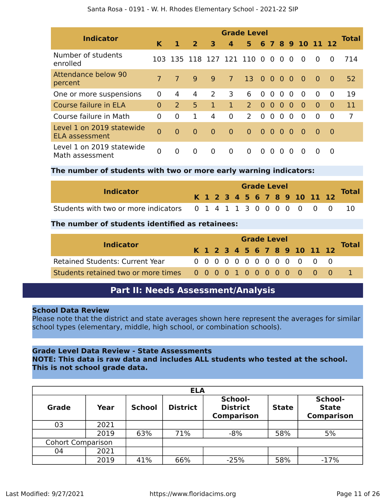|                                                    |                |                |                |                |                | <b>Grade Level</b>        |                |                |                |          |                  |          |          |              |
|----------------------------------------------------|----------------|----------------|----------------|----------------|----------------|---------------------------|----------------|----------------|----------------|----------|------------------|----------|----------|--------------|
| <b>Indicator</b>                                   | K              | 1              | $\overline{2}$ | 3              | $\overline{a}$ | 5.                        |                |                |                |          | 6 7 8 9 10 11 12 |          |          | <b>Total</b> |
| Number of students<br>enrolled                     |                |                |                |                |                | 103 135 118 127 121 110 0 |                | $\overline{0}$ | $\overline{0}$ | $\Omega$ | $\Omega$         | $\Omega$ | $\Omega$ | 714          |
| <b>Attendance below 90</b><br>percent              | $\overline{7}$ | $\overline{7}$ | 9              | 9              | $\overline{7}$ | 13 <sup>°</sup>           | $\overline{0}$ | $\overline{0}$ | $\overline{0}$ | $\Omega$ | $\overline{0}$   | $\Omega$ | $\Omega$ | 52           |
| One or more suspensions                            | $\Omega$       | 4              | 4              | 2              | 3              | 6                         | $\Omega$       | $\overline{0}$ | $\Omega$       | $\Omega$ | $\Omega$         | $\Omega$ | $\Omega$ | 19           |
| Course failure in ELA                              | $\Omega$       | 2              | 5              | $\mathbf{1}$   | $\mathbf{1}$   | $\overline{2}$            | $\Omega$       | $\overline{0}$ | $\Omega$       | $\Omega$ | $\Omega$         | $\Omega$ | $\Omega$ | 11           |
| Course failure in Math                             | $\Omega$       | 0              | 1              | 4              | $\mathbf 0$    | 2                         | $\Omega$       | $\overline{0}$ | $\overline{0}$ | $\Omega$ | $\Omega$         | $\Omega$ | 0        | 7            |
| Level 1 on 2019 statewide<br><b>ELA assessment</b> | $\overline{0}$ | $\Omega$       | $\Omega$       | $\overline{0}$ | $\overline{0}$ | $\Omega$                  | $\Omega$       | $\Omega$       | $\Omega$       | $\Omega$ | $\bullet$        | $\Omega$ | - 0      |              |
| Level 1 on 2019 statewide<br>Math assessment       | $\Omega$       | $\Omega$       | $\Omega$       | $\overline{0}$ | $\overline{0}$ | $\Omega$                  | $\Omega$       | $\Omega$       | 0              | $\Omega$ | $\Omega$         | $\Omega$ | 0        |              |

### **The number of students with two or more early warning indicators:**

| <b>Indicator</b>                                                 |  | <b>Grade Level</b> |  |  |  |  |  |  |  |  |  | <b>Total</b>                 |  |
|------------------------------------------------------------------|--|--------------------|--|--|--|--|--|--|--|--|--|------------------------------|--|
|                                                                  |  |                    |  |  |  |  |  |  |  |  |  | K 1 2 3 4 5 6 7 8 9 10 11 12 |  |
| Students with two or more indicators 0 1 4 1 1 3 0 0 0 0 0 0 0 0 |  |                    |  |  |  |  |  |  |  |  |  |                              |  |

### **The number of students identified as retainees:**

|                                                       | <b>Grade Level</b> |  |  |  |  |  |  |  |  |  |                              |              |
|-------------------------------------------------------|--------------------|--|--|--|--|--|--|--|--|--|------------------------------|--------------|
| <b>Indicator</b>                                      |                    |  |  |  |  |  |  |  |  |  | K 1 2 3 4 5 6 7 8 9 10 11 12 | <b>Total</b> |
| <b>Retained Students: Current Year</b>                |                    |  |  |  |  |  |  |  |  |  | 0 0 0 0 0 0 0 0 0 0 0 0 0    |              |
| Students retained two or more times 00000100000000000 |                    |  |  |  |  |  |  |  |  |  |                              |              |

### **Part II: Needs Assessment/Analysis**

### **School Data Review**

Please note that the district and state averages shown here represent the averages for similar school types (elementary, middle, high school, or combination schools).

### **Grade Level Data Review - State Assessments**

**NOTE: This data is raw data and includes ALL students who tested at the school. This is not school grade data.**

|                          | <b>ELA</b> |               |                 |                                                 |              |                                              |  |  |  |  |  |  |  |
|--------------------------|------------|---------------|-----------------|-------------------------------------------------|--------------|----------------------------------------------|--|--|--|--|--|--|--|
| <b>Grade</b>             | Year       | <b>School</b> | <b>District</b> | School-<br><b>District</b><br><b>Comparison</b> | <b>State</b> | School-<br><b>State</b><br><b>Comparison</b> |  |  |  |  |  |  |  |
| 03                       | 2021       |               |                 |                                                 |              |                                              |  |  |  |  |  |  |  |
|                          | 2019       | 63%           | 71%             | $-8%$                                           | 58%          | 5%                                           |  |  |  |  |  |  |  |
| <b>Cohort Comparison</b> |            |               |                 |                                                 |              |                                              |  |  |  |  |  |  |  |
| 04                       | 2021       |               |                 |                                                 |              |                                              |  |  |  |  |  |  |  |
|                          | 2019       | 41%           | 66%             | $-25%$                                          | 58%          | $-17%$                                       |  |  |  |  |  |  |  |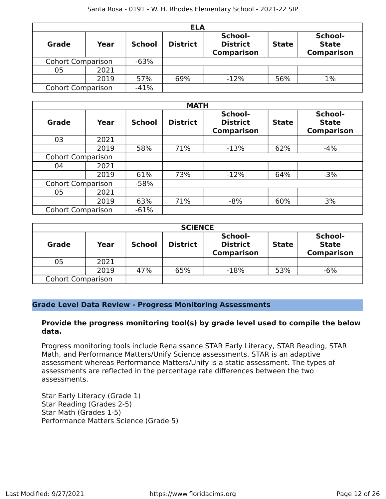|                          | <b>ELA</b> |               |                 |                                                 |              |                                              |  |  |  |  |  |  |  |
|--------------------------|------------|---------------|-----------------|-------------------------------------------------|--------------|----------------------------------------------|--|--|--|--|--|--|--|
| <b>Grade</b>             | Year       | <b>School</b> | <b>District</b> | School-<br><b>District</b><br><b>Comparison</b> | <b>State</b> | School-<br><b>State</b><br><b>Comparison</b> |  |  |  |  |  |  |  |
| <b>Cohort Comparison</b> |            | $-63%$        |                 |                                                 |              |                                              |  |  |  |  |  |  |  |
| 05                       | 2021       |               |                 |                                                 |              |                                              |  |  |  |  |  |  |  |
|                          | 2019       | 57%           | 69%             | $-12%$                                          | 56%          | 1%                                           |  |  |  |  |  |  |  |
| <b>Cohort Comparison</b> |            | $-41%$        |                 |                                                 |              |                                              |  |  |  |  |  |  |  |

|                          |      |               | <b>MATH</b>     |                                                 |              |                                              |
|--------------------------|------|---------------|-----------------|-------------------------------------------------|--------------|----------------------------------------------|
| <b>Grade</b>             | Year | <b>School</b> | <b>District</b> | School-<br><b>District</b><br><b>Comparison</b> | <b>State</b> | School-<br><b>State</b><br><b>Comparison</b> |
| 03                       | 2021 |               |                 |                                                 |              |                                              |
|                          | 2019 | 58%           | 71%             | $-13%$                                          | 62%          | $-4%$                                        |
| <b>Cohort Comparison</b> |      |               |                 |                                                 |              |                                              |
| 04                       | 2021 |               |                 |                                                 |              |                                              |
|                          | 2019 | 61%           | 73%             | $-12%$                                          | 64%          | $-3%$                                        |
| <b>Cohort Comparison</b> |      | $-58%$        |                 |                                                 |              |                                              |
| 05                       | 2021 |               |                 |                                                 |              |                                              |
|                          | 2019 | 63%           | 71%             | $-8%$                                           | 60%          | 3%                                           |
| <b>Cohort Comparison</b> |      | $-61%$        |                 |                                                 |              |                                              |

|                          | <b>SCIENCE</b> |               |                 |                                                 |              |                                              |  |  |  |  |  |  |  |
|--------------------------|----------------|---------------|-----------------|-------------------------------------------------|--------------|----------------------------------------------|--|--|--|--|--|--|--|
| <b>Grade</b>             | Year           | <b>School</b> | <b>District</b> | School-<br><b>District</b><br><b>Comparison</b> | <b>State</b> | School-<br><b>State</b><br><b>Comparison</b> |  |  |  |  |  |  |  |
| 05                       | 2021           |               |                 |                                                 |              |                                              |  |  |  |  |  |  |  |
|                          | 2019           | 47%           | 65%             | $-18%$                                          | 53%          | $-6%$                                        |  |  |  |  |  |  |  |
| <b>Cohort Comparison</b> |                |               |                 |                                                 |              |                                              |  |  |  |  |  |  |  |

### **Grade Level Data Review - Progress Monitoring Assessments**

### **Provide the progress monitoring tool(s) by grade level used to compile the below data.**

Progress monitoring tools include Renaissance STAR Early Literacy, STAR Reading, STAR Math, and Performance Matters/Unify Science assessments. STAR is an adaptive assessment whereas Performance Matters/Unify is a static assessment. The types of assessments are reflected in the percentage rate differences between the two assessments.

Star Early Literacy (Grade 1) Star Reading (Grades 2-5) Star Math (Grades 1-5) Performance Matters Science (Grade 5)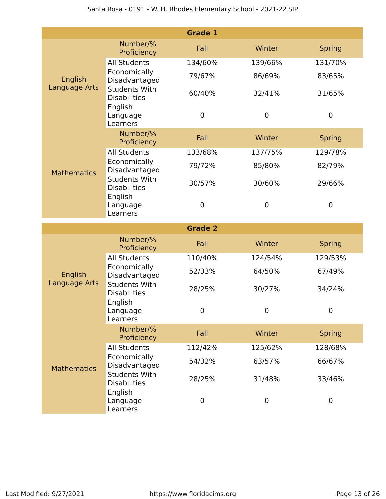|                    |                                                        | <b>Grade 1</b> |             |               |
|--------------------|--------------------------------------------------------|----------------|-------------|---------------|
|                    | Number/%<br>Proficiency                                | Fall           | Winter      | <b>Spring</b> |
|                    | <b>All Students</b>                                    | 134/60%        | 139/66%     | 131/70%       |
| English            | Economically<br>Disadvantaged                          | 79/67%         | 86/69%      | 83/65%        |
| Language Arts      | <b>Students With</b><br><b>Disabilities</b>            | 60/40%         | 32/41%      | 31/65%        |
|                    | English<br>Language<br>Learners                        | $\mathbf 0$    | $\mathbf 0$ | $\mathbf 0$   |
|                    | Number/%<br>Proficiency                                | Fall           | Winter      | <b>Spring</b> |
| <b>Mathematics</b> | <b>All Students</b>                                    | 133/68%        | 137/75%     | 129/78%       |
|                    | Economically<br>Disadvantaged                          | 79/72%         | 85/80%      | 82/79%        |
|                    | <b>Students With</b><br><b>Disabilities</b>            | 30/57%         | 30/60%      | 29/66%        |
|                    | English<br>Language<br>Learners                        | $\mathbf 0$    | $\mathbf 0$ | $\mathbf 0$   |
|                    |                                                        |                |             |               |
|                    |                                                        | <b>Grade 2</b> |             |               |
|                    | Number/%<br>Proficiency                                | Fall           | Winter      | <b>Spring</b> |
|                    | <b>All Students</b>                                    | 110/40%        | 124/54%     | 129/53%       |
| English            | Economically<br>Disadvantaged                          | 52/33%         | 64/50%      | 67/49%        |
| Language Arts      | <b>Students With</b><br><b>Disabilities</b>            | 28/25%         | 30/27%      | 34/24%        |
|                    | English<br>Language<br>Learners                        | 0              | $\mathbf 0$ | $\mathbf 0$   |
|                    | Number/%<br>Proficiency                                | Fall           | Winter      | <b>Spring</b> |
|                    | <b>All Students</b>                                    | 112/42%        | 125/62%     | 128/68%       |
| <b>Mathematics</b> | Economically<br>Disadvantaged                          | 54/32%         | 63/57%      | 66/67%        |
|                    | <b>Students With</b><br><b>Disabilities</b><br>English | 28/25%         | 31/48%      | 33/46%        |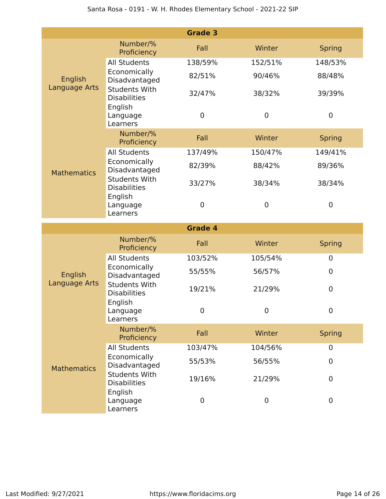|                    |                                                        | <b>Grade 3</b> |             |               |
|--------------------|--------------------------------------------------------|----------------|-------------|---------------|
|                    | Number/%<br>Proficiency                                | Fall           | Winter      | <b>Spring</b> |
|                    | <b>All Students</b>                                    | 138/59%        | 152/51%     | 148/53%       |
| English            | Economically<br>Disadvantaged                          | 82/51%         | 90/46%      | 88/48%        |
| Language Arts      | <b>Students With</b><br><b>Disabilities</b>            | 32/47%         | 38/32%      | 39/39%        |
|                    | English<br>Language<br>Learners                        | $\overline{0}$ | $\mathbf 0$ | $\mathbf 0$   |
|                    | Number/%<br>Proficiency                                | Fall           | Winter      | <b>Spring</b> |
| <b>Mathematics</b> | <b>All Students</b>                                    | 137/49%        | 150/47%     | 149/41%       |
|                    | Economically<br>Disadvantaged                          | 82/39%         | 88/42%      | 89/36%        |
|                    | <b>Students With</b><br><b>Disabilities</b>            | 33/27%         | 38/34%      | 38/34%        |
|                    | English<br>Language<br>Learners                        | $\mathbf 0$    | $\mathbf 0$ | $\mathbf 0$   |
|                    |                                                        |                |             |               |
|                    |                                                        | <b>Grade 4</b> |             |               |
|                    | Number/%<br>Proficiency                                | Fall           | Winter      | <b>Spring</b> |
|                    | <b>All Students</b>                                    | 103/52%        | 105/54%     | $\mathbf 0$   |
| English            | Economically<br>Disadvantaged                          | 55/55%         | 56/57%      | $\mathbf 0$   |
| Language Arts      | <b>Students With</b><br><b>Disabilities</b>            | 19/21%         | 21/29%      | $\mathbf 0$   |
|                    | English<br>Language<br>Learners                        | 0              | 0           | $\mathbf 0$   |
|                    | Number/%<br>Proficiency                                | Fall           | Winter      | <b>Spring</b> |
|                    | <b>All Students</b>                                    | 103/47%        | 104/56%     | $\mathbf 0$   |
| <b>Mathematics</b> | Economically<br>Disadvantaged                          | 55/53%         | 56/55%      | $\mathbf 0$   |
|                    | <b>Students With</b><br><b>Disabilities</b><br>English | 19/16%         | 21/29%      | $\mathbf 0$   |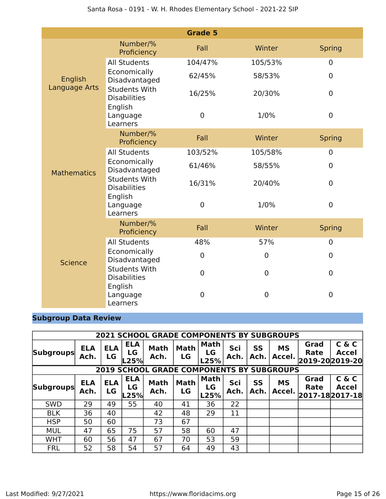|                    |                                             | <b>Grade 5</b> |                  |                  |
|--------------------|---------------------------------------------|----------------|------------------|------------------|
|                    | Number/%<br>Proficiency                     | Fall           | Winter           | <b>Spring</b>    |
|                    | <b>All Students</b>                         | 104/47%        | 105/53%          | $\overline{0}$   |
| English            | Economically<br>Disadvantaged               | 62/45%         | 58/53%           | $\mathbf 0$      |
| Language Arts      | <b>Students With</b><br><b>Disabilities</b> | 16/25%         | 20/30%           | $\mathbf 0$      |
|                    | English<br>Language<br>Learners             | 0              | 1/0%             | $\mathbf 0$      |
|                    | Number/%<br>Proficiency                     | Fall           | Winter           | <b>Spring</b>    |
|                    | <b>All Students</b>                         | 103/52%        | 105/58%          | $\overline{0}$   |
| <b>Mathematics</b> | Economically<br>Disadvantaged               | 61/46%         | 58/55%           | $\mathbf 0$      |
|                    | <b>Students With</b><br><b>Disabilities</b> | 16/31%         | 20/40%           | $\mathbf 0$      |
|                    | English<br>Language<br>Learners             | 0              | 1/0%             | $\mathbf 0$      |
|                    | Number/%<br>Proficiency                     | Fall           | Winter           | <b>Spring</b>    |
|                    | <b>All Students</b>                         | 48%            | 57%              | $\overline{0}$   |
| <b>Science</b>     | Economically<br>Disadvantaged               | $\mathbf 0$    | $\mathbf 0$      | $\mathbf 0$      |
|                    | <b>Students With</b><br><b>Disabilities</b> | $\mathbf 0$    | $\boldsymbol{0}$ | $\boldsymbol{0}$ |
|                    | English<br>Language<br>Learners             | $\mathbf 0$    | 0                | $\overline{0}$   |

# **Subgroup Data Review**

|                                                     | <b>2021 SCHOOL GRADE COMPONENTS BY SUBGROUPS</b> |                  |                          |                     |                   |                           |             |            |                     |                                        |                       |  |
|-----------------------------------------------------|--------------------------------------------------|------------------|--------------------------|---------------------|-------------------|---------------------------|-------------|------------|---------------------|----------------------------------------|-----------------------|--|
| <b>Subgroups</b>                                    | <b>ELA</b><br>Ach.                               | <b>ELA</b><br>LG | <b>ELA</b><br>LG<br>L25% | <b>Math</b><br>Ach. | <b>Math</b><br>LG | <b>Math</b><br>LG<br>L25% | Sci<br>Ach. | SS<br>Ach. | <b>MS</b><br>Accel. | Grad<br><b>Rate</b><br>2019-20 2019-20 | C & C<br><b>Accel</b> |  |
| <b>SCHOOL GRADE COMPONENTS BY SUBGROUPS</b><br>2019 |                                                  |                  |                          |                     |                   |                           |             |            |                     |                                        |                       |  |
| <b>Subgroups</b>                                    | <b>ELA</b><br>Ach.                               | <b>ELA</b><br>LG | <b>ELA</b><br>LG<br>L25% | <b>Math</b><br>Ach. | <b>Math</b><br>LG | <b>Math</b><br>LG<br>L25% | Sci<br>Ach. | SS<br>Ach. | <b>MS</b><br>Accel. | Grad<br>Rate<br>2017-182017-18         | C & C<br><b>Accel</b> |  |
| <b>SWD</b>                                          | 29                                               | 49               | 55                       | 40                  | 41                | 36                        | 22          |            |                     |                                        |                       |  |
| <b>BLK</b>                                          | 36                                               | 40               |                          | 42                  | 48                | 29                        | 11          |            |                     |                                        |                       |  |
| <b>HSP</b>                                          | 50                                               | 60               |                          | 73                  | 67                |                           |             |            |                     |                                        |                       |  |
| <b>MUL</b>                                          | 47                                               | 65               | 75                       | 57                  | 58                | 60                        | 47          |            |                     |                                        |                       |  |
| <b>WHT</b>                                          | 60                                               | 56               | 47                       | 67                  | 70                | 53                        | 59          |            |                     |                                        |                       |  |
| <b>FRL</b>                                          | 52                                               | 58               | 54                       | 57                  | 64                | 49                        | 43          |            |                     |                                        |                       |  |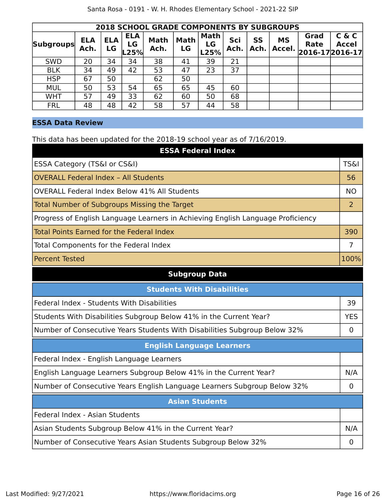|                  | <b>2018 SCHOOL GRADE COMPONENTS BY SUBGROUPS</b> |                  |                          |                     |                   |                           |             |                   |                     |                                        |                       |  |  |  |
|------------------|--------------------------------------------------|------------------|--------------------------|---------------------|-------------------|---------------------------|-------------|-------------------|---------------------|----------------------------------------|-----------------------|--|--|--|
| <b>Subgroups</b> | <b>ELA</b><br>Ach.                               | <b>ELA</b><br>LG | <b>ELA</b><br>LG<br>L25% | <b>Math</b><br>Ach. | <b>Math</b><br>LG | <b>Math</b><br>LG<br>L25% | Sci<br>Ach. | <b>SS</b><br>Ach. | <b>MS</b><br>Accel. | Grad<br><b>Rate</b><br>2016-17 2016-17 | C & C<br><b>Accel</b> |  |  |  |
| <b>SWD</b>       | 20                                               | 34               | 34                       | 38                  | 41                | 39                        | 21          |                   |                     |                                        |                       |  |  |  |
| <b>BLK</b>       | 34                                               | 49               | 42                       | 53                  | 47                | 23                        | 37          |                   |                     |                                        |                       |  |  |  |
| <b>HSP</b>       | 67                                               | 50               |                          | 62                  | 50                |                           |             |                   |                     |                                        |                       |  |  |  |
| <b>MUL</b>       | 50                                               | 53               | 54                       | 65                  | 65                | 45                        | 60          |                   |                     |                                        |                       |  |  |  |
| <b>WHT</b>       | 57                                               | 49               | 33                       | 62                  | 60                | 50                        | 68          |                   |                     |                                        |                       |  |  |  |
| <b>FRL</b>       | 48                                               | 48               | 42                       | 58                  | 57                | 44                        | 58          |                   |                     |                                        |                       |  |  |  |

### **ESSA Data Review**

This data has been updated for the 2018-19 school year as of 7/16/2019.

| <b>ESSA Federal Index</b>                                                       |                 |
|---------------------------------------------------------------------------------|-----------------|
| ESSA Category (TS&I or CS&I)                                                    | <b>TS&amp;I</b> |
| <b>OVERALL Federal Index - All Students</b>                                     | 56              |
| <b>OVERALL Federal Index Below 41% All Students</b>                             | <b>NO</b>       |
| <b>Total Number of Subgroups Missing the Target</b>                             | $\overline{2}$  |
| Progress of English Language Learners in Achieving English Language Proficiency |                 |
| <b>Total Points Earned for the Federal Index</b>                                | 390             |
| Total Components for the Federal Index                                          | $\overline{7}$  |
| <b>Percent Tested</b>                                                           | 100%            |
| <b>Subgroup Data</b>                                                            |                 |
| <b>Students With Disabilities</b>                                               |                 |
| Federal Index - Students With Disabilities                                      | 39              |
| Students With Disabilities Subgroup Below 41% in the Current Year?              | <b>YES</b>      |
| Number of Consecutive Years Students With Disabilities Subgroup Below 32%       | 0               |
| <b>English Language Learners</b>                                                |                 |
| Federal Index - English Language Learners                                       |                 |
| English Language Learners Subgroup Below 41% in the Current Year?               | N/A             |
| Number of Consecutive Years English Language Learners Subgroup Below 32%        | $\overline{0}$  |
| <b>Asian Students</b>                                                           |                 |
| Federal Index - Asian Students                                                  |                 |
| Asian Students Subgroup Below 41% in the Current Year?                          | N/A             |
| Number of Consecutive Years Asian Students Subgroup Below 32%                   | 0               |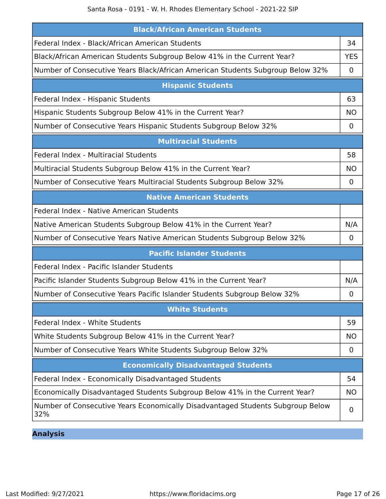| <b>Black/African American Students</b>                                                |             |
|---------------------------------------------------------------------------------------|-------------|
| Federal Index - Black/African American Students                                       | 34          |
| Black/African American Students Subgroup Below 41% in the Current Year?               | <b>YES</b>  |
| Number of Consecutive Years Black/African American Students Subgroup Below 32%        | $\mathbf 0$ |
| <b>Hispanic Students</b>                                                              |             |
| Federal Index - Hispanic Students                                                     | 63          |
| Hispanic Students Subgroup Below 41% in the Current Year?                             | <b>NO</b>   |
| Number of Consecutive Years Hispanic Students Subgroup Below 32%                      | $\mathbf 0$ |
| <b>Multiracial Students</b>                                                           |             |
| Federal Index - Multiracial Students                                                  | 58          |
| Multiracial Students Subgroup Below 41% in the Current Year?                          | <b>NO</b>   |
| Number of Consecutive Years Multiracial Students Subgroup Below 32%                   | 0           |
| <b>Native American Students</b>                                                       |             |
| Federal Index - Native American Students                                              |             |
| Native American Students Subgroup Below 41% in the Current Year?                      | N/A         |
| Number of Consecutive Years Native American Students Subgroup Below 32%               | $\mathbf 0$ |
| <b>Pacific Islander Students</b>                                                      |             |
| Federal Index - Pacific Islander Students                                             |             |
| Pacific Islander Students Subgroup Below 41% in the Current Year?                     | N/A         |
| Number of Consecutive Years Pacific Islander Students Subgroup Below 32%              | 0           |
| <b>White Students</b>                                                                 |             |
| Federal Index - White Students                                                        | 59          |
| White Students Subgroup Below 41% in the Current Year?                                | <b>NO</b>   |
| Number of Consecutive Years White Students Subgroup Below 32%                         | $\mathbf 0$ |
| <b>Economically Disadvantaged Students</b>                                            |             |
| Federal Index - Economically Disadvantaged Students                                   | 54          |
| Economically Disadvantaged Students Subgroup Below 41% in the Current Year?           | <b>NO</b>   |
| Number of Consecutive Years Economically Disadvantaged Students Subgroup Below<br>32% | $\mathbf 0$ |

**Analysis**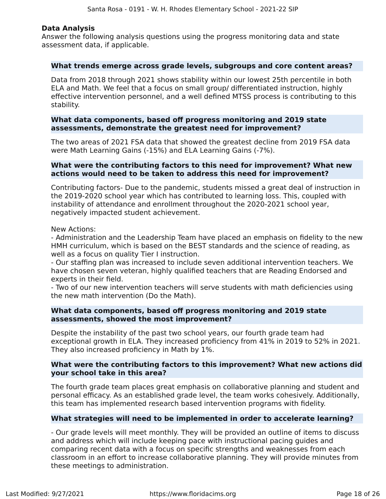### **Data Analysis**

Answer the following analysis questions using the progress monitoring data and state assessment data, if applicable.

### **What trends emerge across grade levels, subgroups and core content areas?**

Data from 2018 through 2021 shows stability within our lowest 25th percentile in both ELA and Math. We feel that a focus on small group/ differentiated instruction, highly effective intervention personnel, and a well defined MTSS process is contributing to this stability.

### **What data components, based off progress monitoring and 2019 state assessments, demonstrate the greatest need for improvement?**

The two areas of 2021 FSA data that showed the greatest decline from 2019 FSA data were Math Learning Gains (-15%) and ELA Learning Gains (-7%).

### **What were the contributing factors to this need for improvement? What new actions would need to be taken to address this need for improvement?**

Contributing factors- Due to the pandemic, students missed a great deal of instruction in the 2019-2020 school year which has contributed to learning loss. This, coupled with instability of attendance and enrollment throughout the 2020-2021 school year, negatively impacted student achievement.

New Actions:

- Administration and the Leadership Team have placed an emphasis on fidelity to the new HMH curriculum, which is based on the BEST standards and the science of reading, as well as a focus on quality Tier I instruction.

- Our staffing plan was increased to include seven additional intervention teachers. We have chosen seven veteran, highly qualified teachers that are Reading Endorsed and experts in their field.

- Two of our new intervention teachers will serve students with math deficiencies using the new math intervention (Do the Math).

### **What data components, based off progress monitoring and 2019 state assessments, showed the most improvement?**

Despite the instability of the past two school years, our fourth grade team had exceptional growth in ELA. They increased proficiency from 41% in 2019 to 52% in 2021. They also increased proficiency in Math by 1%.

### **What were the contributing factors to this improvement? What new actions did your school take in this area?**

The fourth grade team places great emphasis on collaborative planning and student and personal efficacy. As an established grade level, the team works cohesively. Additionally, this team has implemented research based intervention programs with fidelity.

### **What strategies will need to be implemented in order to accelerate learning?**

- Our grade levels will meet monthly. They will be provided an outline of items to discuss and address which will include keeping pace with instructional pacing guides and comparing recent data with a focus on specific strengths and weaknesses from each classroom in an effort to increase collaborative planning. They will provide minutes from these meetings to administration.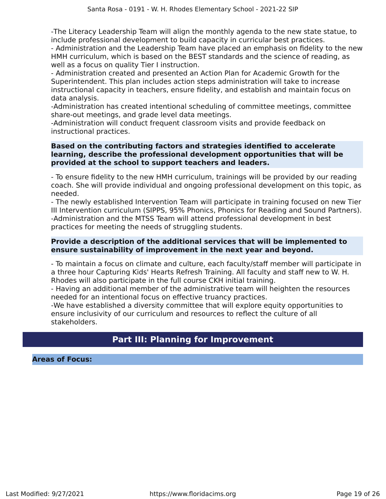-The Literacy Leadership Team will align the monthly agenda to the new state statue, to include professional development to build capacity in curricular best practices.

- Administration and the Leadership Team have placed an emphasis on fidelity to the new HMH curriculum, which is based on the BEST standards and the science of reading, as well as a focus on quality Tier I instruction.

- Administration created and presented an Action Plan for Academic Growth for the Superintendent. This plan includes action steps administration will take to increase instructional capacity in teachers, ensure fidelity, and establish and maintain focus on data analysis.

-Administration has created intentional scheduling of committee meetings, committee share-out meetings, and grade level data meetings.

-Administration will conduct frequent classroom visits and provide feedback on instructional practices.

### **Based on the contributing factors and strategies identified to accelerate learning, describe the professional development opportunities that will be provided at the school to support teachers and leaders.**

- To ensure fidelity to the new HMH curriculum, trainings will be provided by our reading coach. She will provide individual and ongoing professional development on this topic, as needed.

- The newly established Intervention Team will participate in training focused on new Tier III Intervention curriculum (SIPPS, 95% Phonics, Phonics for Reading and Sound Partners). -Administration and the MTSS Team will attend professional development in best practices for meeting the needs of struggling students.

### **Provide a description of the additional services that will be implemented to ensure sustainability of improvement in the next year and beyond.**

- To maintain a focus on climate and culture, each faculty/staff member will participate in a three hour Capturing Kids' Hearts Refresh Training. All faculty and staff new to W. H. Rhodes will also participate in the full course CKH initial training.

- Having an additional member of the administrative team will heighten the resources needed for an intentional focus on effective truancy practices.

-We have established a diversity committee that will explore equity opportunities to ensure inclusivity of our curriculum and resources to reflect the culture of all stakeholders.

### **Part III: Planning for Improvement**

**Areas of Focus:**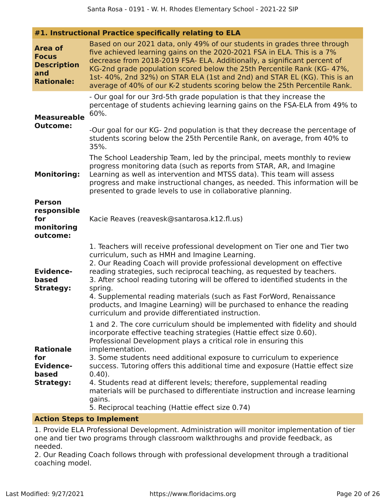| #1. Instructional Practice specifically relating to ELA |  |  |  |  |
|---------------------------------------------------------|--|--|--|--|
|---------------------------------------------------------|--|--|--|--|

| Area of<br><b>Focus</b><br><b>Description</b><br>and<br><b>Rationale:</b> | Based on our 2021 data, only 49% of our students in grades three through<br>five achieved learning gains on the 2020-2021 FSA in ELA. This is a 7%<br>decrease from 2018-2019 FSA- ELA. Additionally, a significant percent of<br>KG-2nd grade population scored below the 25th Percentile Rank (KG-47%,<br>1st-40%, 2nd 32%) on STAR ELA (1st and 2nd) and STAR EL (KG). This is an<br>average of 40% of our K-2 students scoring below the 25th Percentile Rank.                                                                                                                                                                                                                               |
|---------------------------------------------------------------------------|--------------------------------------------------------------------------------------------------------------------------------------------------------------------------------------------------------------------------------------------------------------------------------------------------------------------------------------------------------------------------------------------------------------------------------------------------------------------------------------------------------------------------------------------------------------------------------------------------------------------------------------------------------------------------------------------------|
| <b>Measureable</b><br><b>Outcome:</b>                                     | - Our goal for our 3rd-5th grade population is that they increase the<br>percentage of students achieving learning gains on the FSA-ELA from 49% to<br>60%.                                                                                                                                                                                                                                                                                                                                                                                                                                                                                                                                      |
|                                                                           | -Our goal for our KG- 2nd population is that they decrease the percentage of<br>students scoring below the 25th Percentile Rank, on average, from 40% to<br>35%.                                                                                                                                                                                                                                                                                                                                                                                                                                                                                                                                 |
| <b>Monitoring:</b>                                                        | The School Leadership Team, led by the principal, meets monthly to review<br>progress monitoring data (such as reports from STAR, AR, and Imagine<br>Learning as well as intervention and MTSS data). This team will assess<br>progress and make instructional changes, as needed. This information will be<br>presented to grade levels to use in collaborative planning.                                                                                                                                                                                                                                                                                                                       |
| <b>Person</b><br>responsible<br>for<br>monitoring<br>outcome:             | Kacie Reaves (reavesk@santarosa.k12.fl.us)                                                                                                                                                                                                                                                                                                                                                                                                                                                                                                                                                                                                                                                       |
| <b>Evidence-</b><br>based<br><b>Strategy:</b>                             | 1. Teachers will receive professional development on Tier one and Tier two<br>curriculum, such as HMH and Imagine Learning.<br>2. Our Reading Coach will provide professional development on effective<br>reading strategies, such reciprocal teaching, as requested by teachers.<br>3. After school reading tutoring will be offered to identified students in the<br>spring.<br>4. Supplemental reading materials (such as Fast ForWord, Renaissance<br>products, and Imagine Learning) will be purchased to enhance the reading                                                                                                                                                               |
| <b>Rationale</b><br>for<br><b>Evidence-</b><br>based<br><b>Strategy:</b>  | curriculum and provide differentiated instruction.<br>1 and 2. The core curriculum should be implemented with fidelity and should<br>incorporate effective teaching strategies (Hattie effect size 0.60).<br>Professional Development plays a critical role in ensuring this<br>implementation.<br>3. Some students need additional exposure to curriculum to experience<br>success. Tutoring offers this additional time and exposure (Hattie effect size<br>$0.40$ ).<br>4. Students read at different levels; therefore, supplemental reading<br>materials will be purchased to differentiate instruction and increase learning<br>gains.<br>5. Reciprocal teaching (Hattie effect size 0.74) |
|                                                                           |                                                                                                                                                                                                                                                                                                                                                                                                                                                                                                                                                                                                                                                                                                  |

### **Action Steps to Implement**

1. Provide ELA Professional Development. Administration will monitor implementation of tier one and tier two programs through classroom walkthroughs and provide feedback, as needed.

2. Our Reading Coach follows through with professional development through a traditional coaching model.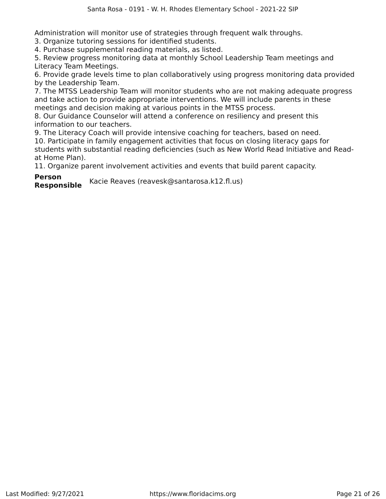Administration will monitor use of strategies through frequent walk throughs.

3. Organize tutoring sessions for identified students.

4. Purchase supplemental reading materials, as listed.

5. Review progress monitoring data at monthly School Leadership Team meetings and Literacy Team Meetings.

6. Provide grade levels time to plan collaboratively using progress monitoring data provided by the Leadership Team.

7. The MTSS Leadership Team will monitor students who are not making adequate progress and take action to provide appropriate interventions. We will include parents in these meetings and decision making at various points in the MTSS process.

8. Our Guidance Counselor will attend a conference on resiliency and present this information to our teachers.

9. The Literacy Coach will provide intensive coaching for teachers, based on need. 10. Participate in family engagement activities that focus on closing literacy gaps for students with substantial reading deficiencies (such as New World Read Initiative and Readat Home Plan).

11. Organize parent involvement activities and events that build parent capacity.

**Person**

**Responsible** Kacie Reaves (reavesk@santarosa.k12.fl.us)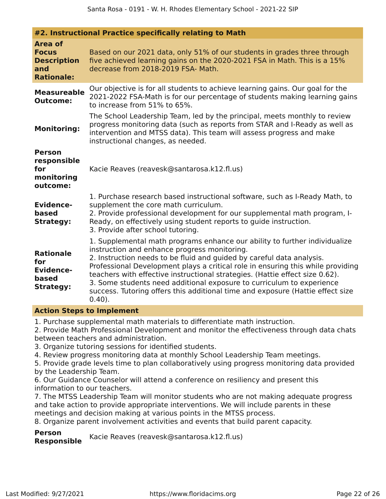|                                                                                  | #2. Instructional Practice specifically relating to Math                                                                                                                                                                                                                                                                                                                                                                                                                                                                                       |  |
|----------------------------------------------------------------------------------|------------------------------------------------------------------------------------------------------------------------------------------------------------------------------------------------------------------------------------------------------------------------------------------------------------------------------------------------------------------------------------------------------------------------------------------------------------------------------------------------------------------------------------------------|--|
| <b>Area of</b><br><b>Focus</b><br><b>Description</b><br>and<br><b>Rationale:</b> | Based on our 2021 data, only 51% of our students in grades three through<br>five achieved learning gains on the 2020-2021 FSA in Math. This is a 15%<br>decrease from 2018-2019 FSA- Math.                                                                                                                                                                                                                                                                                                                                                     |  |
| <b>Measureable</b><br><b>Outcome:</b>                                            | Our objective is for all students to achieve learning gains. Our goal for the<br>2021-2022 FSA-Math is for our percentage of students making learning gains<br>to increase from 51% to 65%.                                                                                                                                                                                                                                                                                                                                                    |  |
| <b>Monitoring:</b>                                                               | The School Leadership Team, led by the principal, meets monthly to review<br>progress monitoring data (such as reports from STAR and I-Ready as well as<br>intervention and MTSS data). This team will assess progress and make<br>instructional changes, as needed.                                                                                                                                                                                                                                                                           |  |
| <b>Person</b><br>responsible<br>for<br>monitoring<br>outcome:                    | Kacie Reaves (reavesk@santarosa.k12.fl.us)                                                                                                                                                                                                                                                                                                                                                                                                                                                                                                     |  |
| <b>Evidence-</b><br>based<br><b>Strategy:</b>                                    | 1. Purchase research based instructional software, such as I-Ready Math, to<br>supplement the core math curriculum.<br>2. Provide professional development for our supplemental math program, I-<br>Ready, on effectively using student reports to guide instruction.<br>3. Provide after school tutoring.                                                                                                                                                                                                                                     |  |
| <b>Rationale</b><br>for<br><b>Evidence-</b><br>based<br><b>Strategy:</b>         | 1. Supplemental math programs enhance our ability to further individualize<br>instruction and enhance progress monitoring.<br>2. Instruction needs to be fluid and guided by careful data analysis.<br>Professional Development plays a critical role in ensuring this while providing<br>teachers with effective instructional strategies. (Hattie effect size 0.62).<br>3. Some students need additional exposure to curriculum to experience<br>success. Tutoring offers this additional time and exposure (Hattie effect size<br>$0.40$ ). |  |

### **Action Steps to Implement**

1. Purchase supplemental math materials to differentiate math instruction.

2. Provide Math Professional Development and monitor the effectiveness through data chats between teachers and administration.

3. Organize tutoring sessions for identified students.

4. Review progress monitoring data at monthly School Leadership Team meetings.

5. Provide grade levels time to plan collaboratively using progress monitoring data provided by the Leadership Team.

6. Our Guidance Counselor will attend a conference on resiliency and present this information to our teachers.

7. The MTSS Leadership Team will monitor students who are not making adequate progress and take action to provide appropriate interventions. We will include parents in these meetings and decision making at various points in the MTSS process.

8. Organize parent involvement activities and events that build parent capacity.

**Person** Kacie Reaves (reavesk@santarosa.k12.fl.us)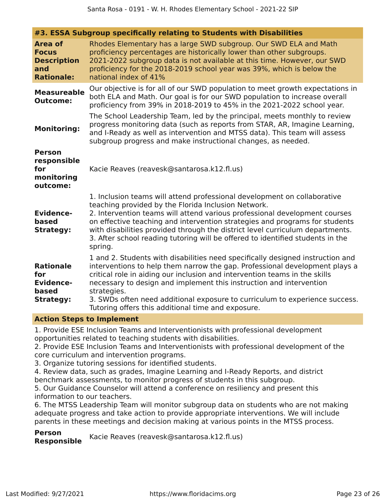| #3. ESSA Subgroup specifically relating to Students with Disabilities            |                                                                                                                                                                                                                                                                                                                                                                                                                                                                            |
|----------------------------------------------------------------------------------|----------------------------------------------------------------------------------------------------------------------------------------------------------------------------------------------------------------------------------------------------------------------------------------------------------------------------------------------------------------------------------------------------------------------------------------------------------------------------|
| <b>Area of</b><br><b>Focus</b><br><b>Description</b><br>and<br><b>Rationale:</b> | Rhodes Elementary has a large SWD subgroup. Our SWD ELA and Math<br>proficiency percentages are historically lower than other subgroups.<br>2021-2022 subgroup data is not available at this time. However, our SWD<br>proficiency for the 2018-2019 school year was 39%, which is below the<br>national index of 41%                                                                                                                                                      |
| <b>Measureable</b><br><b>Outcome:</b>                                            | Our objective is for all of our SWD population to meet growth expectations in<br>both ELA and Math. Our goal is for our SWD population to increase overall<br>proficiency from 39% in 2018-2019 to 45% in the 2021-2022 school year.                                                                                                                                                                                                                                       |
| <b>Monitoring:</b>                                                               | The School Leadership Team, led by the principal, meets monthly to review<br>progress monitoring data (such as reports from STAR, AR, Imagine Learning,<br>and I-Ready as well as intervention and MTSS data). This team will assess<br>subgroup progress and make instructional changes, as needed.                                                                                                                                                                       |
| <b>Person</b><br>responsible<br>for<br>monitoring<br>outcome:                    | Kacie Reaves (reavesk@santarosa.k12.fl.us)                                                                                                                                                                                                                                                                                                                                                                                                                                 |
| <b>Evidence-</b><br>based<br><b>Strategy:</b>                                    | 1. Inclusion teams will attend professional development on collaborative<br>teaching provided by the Florida Inclusion Network.<br>2. Intervention teams will attend various professional development courses<br>on effective teaching and intervention strategies and programs for students<br>with disabilities provided through the district level curriculum departments.<br>3. After school reading tutoring will be offered to identified students in the<br>spring. |
| <b>Rationale</b><br>for<br><b>Evidence-</b><br>based<br><b>Strategy:</b>         | 1 and 2. Students with disabilities need specifically designed instruction and<br>interventions to help them narrow the gap. Professional development plays a<br>critical role in aiding our inclusion and intervention teams in the skills<br>necessary to design and implement this instruction and intervention<br>strategies.<br>3. SWDs often need additional exposure to curriculum to experience success.<br>Tutoring offers this additional time and exposure.     |

### **Action Steps to Implement**

1. Provide ESE Inclusion Teams and Interventionists with professional development opportunities related to teaching students with disabilities.

2. Provide ESE Inclusion Teams and Interventionists with professional development of the core curriculum and intervention programs.

3. Organize tutoring sessions for identified students.

4. Review data, such as grades, Imagine Learning and I-Ready Reports, and district benchmark assessments, to monitor progress of students in this subgroup.

5. Our Guidance Counselor will attend a conference on resiliency and present this information to our teachers.

6. The MTSS Leadership Team will monitor subgroup data on students who are not making adequate progress and take action to provide appropriate interventions. We will include parents in these meetings and decision making at various points in the MTSS process.

**Person Responsible** Kacie Reaves (reavesk@santarosa.k12.fl.us)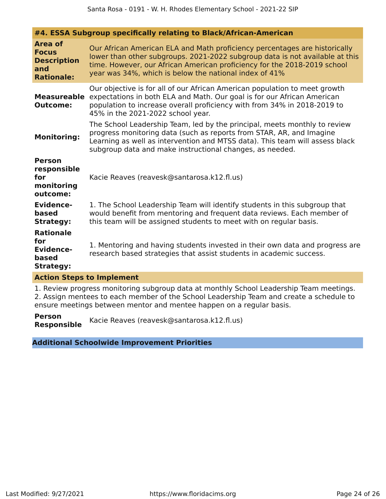| #4. ESSA Subgroup specifically relating to Black/African-American                |                                                                                                                                                                                                                                                                                                  |
|----------------------------------------------------------------------------------|--------------------------------------------------------------------------------------------------------------------------------------------------------------------------------------------------------------------------------------------------------------------------------------------------|
| <b>Area of</b><br><b>Focus</b><br><b>Description</b><br>and<br><b>Rationale:</b> | Our African American ELA and Math proficiency percentages are historically<br>lower than other subgroups. 2021-2022 subgroup data is not available at this<br>time. However, our African American proficiency for the 2018-2019 school<br>year was 34%, which is below the national index of 41% |
| <b>Measureable</b><br><b>Outcome:</b>                                            | Our objective is for all of our African American population to meet growth<br>expectations in both ELA and Math. Our goal is for our African American<br>population to increase overall proficiency with from 34% in 2018-2019 to<br>45% in the 2021-2022 school year.                           |
| <b>Monitoring:</b>                                                               | The School Leadership Team, led by the principal, meets monthly to review<br>progress monitoring data (such as reports from STAR, AR, and Imagine<br>Learning as well as intervention and MTSS data). This team will assess black<br>subgroup data and make instructional changes, as needed.    |
| <b>Person</b><br>responsible<br>for<br>monitoring<br>outcome:                    | Kacie Reaves (reavesk@santarosa.k12.fl.us)                                                                                                                                                                                                                                                       |
| <b>Evidence-</b><br>based<br><b>Strategy:</b>                                    | 1. The School Leadership Team will identify students in this subgroup that<br>would benefit from mentoring and frequent data reviews. Each member of<br>this team will be assigned students to meet with on regular basis.                                                                       |
| <b>Rationale</b><br>for<br><b>Evidence-</b><br>based<br><b>Strategy:</b>         | 1. Mentoring and having students invested in their own data and progress are<br>research based strategies that assist students in academic success.                                                                                                                                              |
| <b>Action Steps to Implement</b>                                                 |                                                                                                                                                                                                                                                                                                  |
|                                                                                  | $\sim$ $\sim$ $\sim$                                                                                                                                                                                                                                                                             |

1. Review progress monitoring subgroup data at monthly School Leadership Team meetings. 2. Assign mentees to each member of the School Leadership Team and create a schedule to ensure meetings between mentor and mentee happen on a regular basis.

**Person Responsible** Kacie Reaves (reavesk@santarosa.k12.fl.us)

### **Additional Schoolwide Improvement Priorities**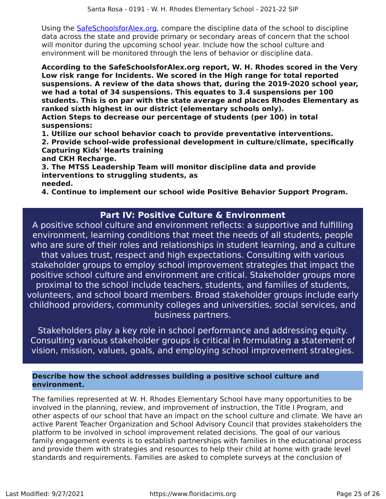Using the SafeSchoolsforAlex.org, compare the discipline data of the school to discipline data across the state and provide primary or secondary areas of concern that the school will monitor during the upcoming school year. Include how the school culture and environment will be monitored through the lens of behavior or discipline data.

**According to the SafeSchoolsforAlex.org report, W. H. Rhodes scored in the Very Low risk range for Incidents. We scored in the High range for total reported suspensions. A review of the data shows that, during the 2019-2020 school year, we had a total of 34 suspensions. This equates to 3.4 suspensions per 100 students. This is on par with the state average and places Rhodes Elementary as ranked sixth highest in our district (elementary schools only).**

**Action Steps to decrease our percentage of students (per 100) in total suspensions:**

**1. Utilize our school behavior coach to provide preventative interventions.**

**2. Provide school-wide professional development in culture/climate, specifically Capturing Kids' Hearts training**

**and CKH Recharge.**

**3. The MTSS Leadership Team will monitor discipline data and provide interventions to struggling students, as needed.**

**4. Continue to implement our school wide Positive Behavior Support Program.**

### **Part IV: Positive Culture & Environment**

A positive school culture and environment reflects: a supportive and fulfilling environment, learning conditions that meet the needs of all students, people who are sure of their roles and relationships in student learning, and a culture that values trust, respect and high expectations. Consulting with various stakeholder groups to employ school improvement strategies that impact the positive school culture and environment are critical. Stakeholder groups more proximal to the school include teachers, students, and families of students, volunteers, and school board members. Broad stakeholder groups include early childhood providers, community colleges and universities, social services, and business partners.

Stakeholders play a key role in school performance and addressing equity. Consulting various stakeholder groups is critical in formulating a statement of vision, mission, values, goals, and employing school improvement strategies.

### **Describe how the school addresses building a positive school culture and environment.**

The families represented at W. H. Rhodes Elementary School have many opportunities to be involved in the planning, review, and improvement of instruction, the Title I Program, and other aspects of our school that have an impact on the school culture and climate. We have an active Parent Teacher Organization and School Advisory Council that provides stakeholders the platform to be involved in school improvement related decisions. The goal of our various family engagement events is to establish partnerships with families in the educational process and provide them with strategies and resources to help their child at home with grade level standards and requirements. Families are asked to complete surveys at the conclusion of